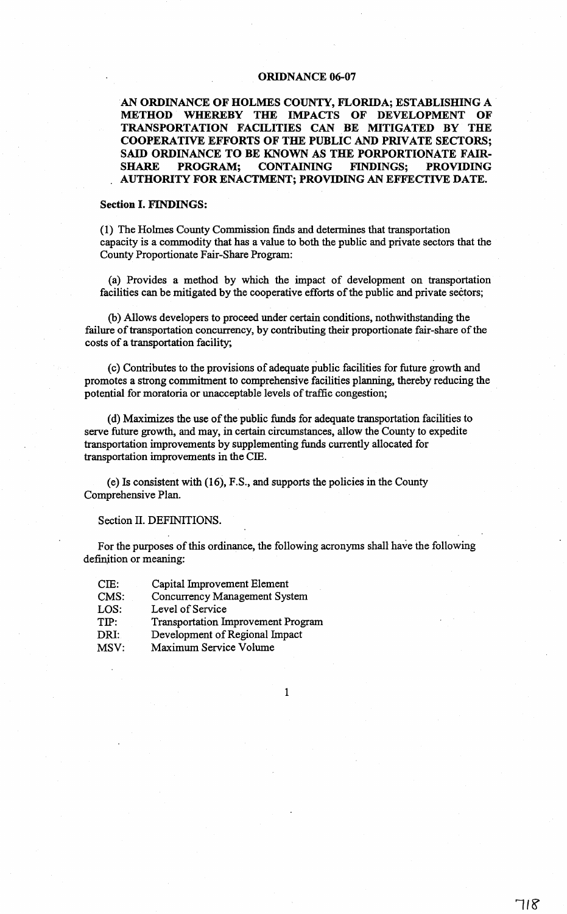## ORIDNANCE 06-07

AN ORDINANCE OF HOLMES COUNTY, FLORIDA; ESTABLISHING A METHOD WHEREBY THE IMPACTS OF DEVELOPMENT OF TRANSPORTATION FACILITIES CAN BE MITIGATED BY THE COOPERATIVE EFFORTS OF THE PUBLIC AND PRIVATE SECTORS; SAID ORDINANCE TO BE KNOWN AS THE PORPORTIONATE FAIR-<br>SHARE PROGRAM; CONTAINING FINDINGS; PROVIDING CONTAINING FINDINGS; PROVIDING AUTHORITY FOR ENACTMENT; PROVIDING AN EFFECTIVE DATE.

#### Section I. FINDINGS:

(1) The Holmes County Commission finds and determines that transportation capacity is a commodity that has a value to both the public and private sectors that the County Proportionate Fair-Share Program:

(a) Provides a method by which the impact of development on transportation facilities can be mitigated by the cooperative efforts of the public and private sectors;

(b) Allows developers to proceed under certain conditions, nothwithstanding the failure of transportation concurrency, by contributing their proportionate fair-share of the costs of a transportation facility;

(c) Contributes to the provisions of adequate public facilities for future growth and promotes a strong commitment to comprehensive facilities planning, thereby reducing the potential for moratoria or unacceptable levels of traffic congestion;

(d) Maximizes the use ofthe public funds for adequate transportation facilities to serve future growth, and may, in certain circumstances, allow the County to expedite transportation improvements by supplementing funds currently allocated for transportation improvements in the CIE.

(e) Is consistent with (16), F.S., and supports the policies in the County Comprehensive Plan.

Section II. DEFINITIONS.

For the purposes of this ordinance, the following acronyms shall have the following definition or meaning:

| CIE: | Capital Improvement Element               |
|------|-------------------------------------------|
| CMS: | Concurrency Management System             |
| LOS: | Level of Service                          |
| TIP: | <b>Transportation Improvement Program</b> |
| DRI: | Development of Regional Impact            |
| MSV: | Maximum Service Volume                    |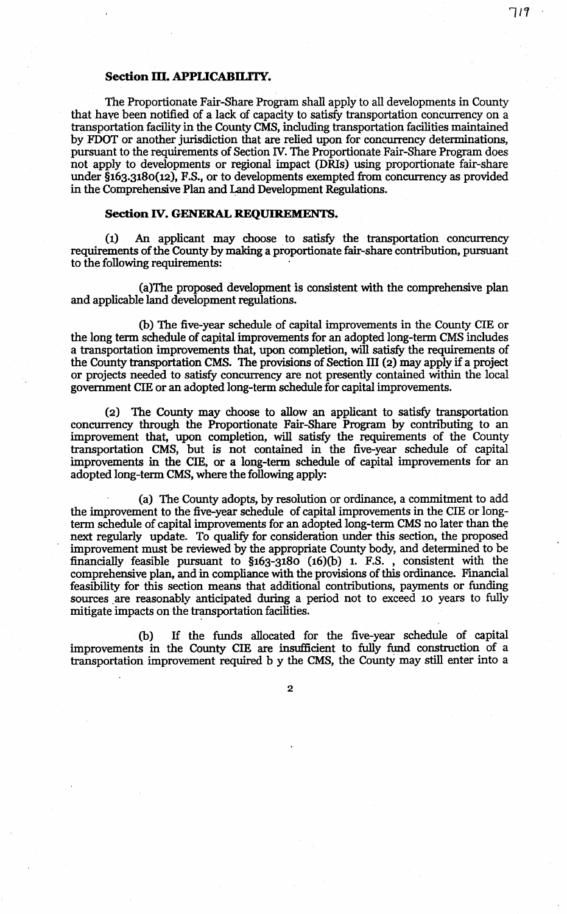# **Section m. APPLICABILITY.**

The Proportionate Fair-Share Program shall apply to all developments in County that have been notified of a lack of capacity to satisfy transportation concurrency on a transportation facility in the County CMS, including transportation facilities maintained by FDOT or another jurisdiction that are relied upon for concurrency determinations, pursuant to the requirements of Section N. The Proportionate Fair-Share Program does not apply to developments or regional impact (DRis) using proportionate fair-share under §163.3180(12), F.S., or to developments exempted from concurrency as provided in the Comprehensive Plan and Land Development Regulations.

## **Section IV. GENERAL REQUIREMENTS.**

(1) An applicant may choose to satisfy the transportation concurrency requirements of the County by making a proportionate fair-share contribution, pursuant to the following requirements:

(a)The proposed development is consistent with the comprehensive plan and applicable land development regulations.

(b) The five-year schedule of capital improvements in the County CIE or the long term schedule of capital improvements for an adopted long-term CMS includes a transportation improvements that, upon completion, will satisfy the requirements of the County transportation CMS. The provisions of Section III (2) may apply if a project or projects needed to satisfy concurrency are not presently contained within the local government CIE or an adopted long-term schedule for capital improvements.

(2) The County may choose to allow an applicant to satisfy transportation concurrency through the Proportionate Fair-Share Program by contributing to an improvement that, upon completion, will satisfy the requirements of the County transportation CMS, but is not contained in the five-year schedule of capital improvements in the CIE, or a long-term schedule of capital improvements for an adopted long-term CMS, where the following apply:

(a) The County adopts, by resolution or ordinance, a commitment to add the improvement to the five-year schedule of capital improvements in the CIE or longterm schedule of capital improvements for an adopted long-term CMS no later than the next regularly update. To qualify for consideration under this section, the proposed improvement must be reviewed by the appropriate County body, and determined to be financially feasible pursuant to §163-3180 (16)(b) 1. F.S. , consistent with the comprehensive plan, and in compliance with the provisions of this ordinance. Financial feasibility for this section means that additional contributions, payments or funding sources are reasonably anticipated during a period not to exceed 10 years to fully mitigate impacts on the transportation facilities.

(b) If the funds allocated for the five-year schedule of capital improvements in the County CIE are insufficient to fully fund construction of a transportation improvement required b y the CMS, the County may still enter into a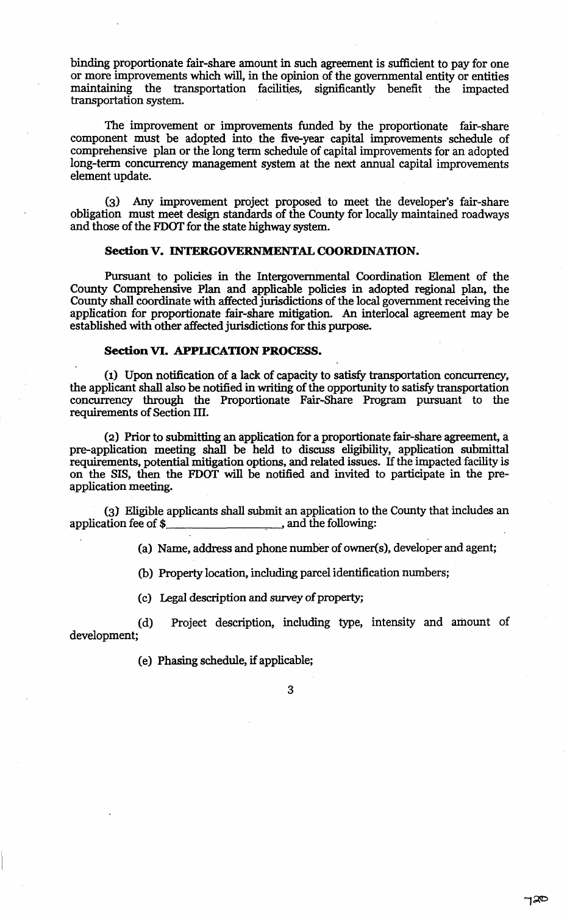binding proportionate fair-share amount in such agreement is sufficient to pay for one or more improvements which will, in the opinion of the governmental entity or entities maintaining the transportation facilities, significantly benefit the impacted transportation system.

The improvement or improvements funded by the proportionate fair-share component must be adopted into the five-year capital improvements schedule of comprehensive plan or the long term schedule of capital improvements for an adopted long-term concurrency management system at the next annual capital improvements element update.

(3) Any improvement project proposed to meet the developer's fair-share obligation must meet design standards of the County for locally maintained roadways and those of the FDOT for the state highway system.

# Section V. INTERGOVERNMENTAL COORDINATION.

Pursuant to policies in the Intergovernmental Coordination Element of the County Comprehensive Plan and applicable policies in adopted regional plan, the County shall coordinate with affected jurisdictions of the local government receiving the application for proportionate fair-share mitigation. An interlocal agreement may be established with other affected jurisdictions for this purpose.

#### Section VI. APPLICATION PROCESS.

(1) Upon notification of a lack of capacity to satisfy transportation concurrency, the applicant shall also be notified in writing of the opportunity to satisfy transportation concurrency through the Proportionate Fair-Share Program pursuant to the requirements of Section III.

(2) Prior to submitting an application for a proportionate fair-share agreement, a pre-application meeting shall be held to discuss eligibility, application submittal requirements, potential mitigation options, and related issues. If the impacted facility is on the SIS, then the FDOT will be notified and invited to participate in the preapplication meeting.

(3) Eligible applicants shall submit an application to the County that includes an application fee of \$

(a) Name, address and phone number of owner(s), developer and agent;

(b) Property location, including parcel identification numbers;

(c) Legal description and survey of property;

(d) Project description, including type, intensity and amount of development;

(e) Phasing schedule, if applicable;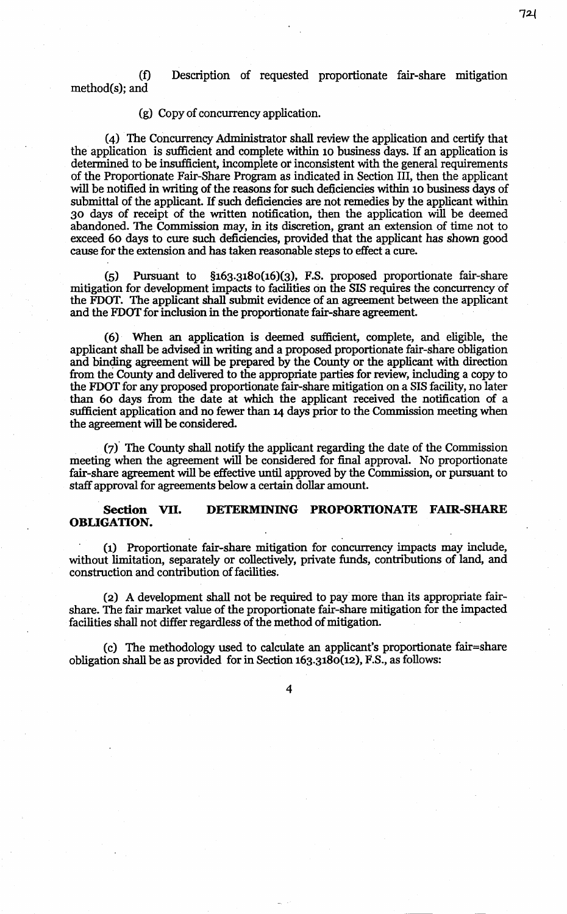(f) Description of requested proportionate fair-share mitigation method(s); and

#### (g) Copy of concurrency application.

(4) The Concurrency Administrator shall review the application and certify that the application is sufficient and complete within 10 business days. If an application is determined to be insufficient, incomplete or inconsistent with the general requirements of the Proportionate Fair-Share Program as indicated in Section III, then the applicant will be notified in writing of the reasons for such deficiencies within 10 business days of submittal of the applicant. If such deficiencies are not remedies by the applicant within 30 days of receipt of the written notification, then the application will be deemed abandoned. The Commission may, in its discretion, grant an extension of time not to exceed 60 days to cure such deficiencies, provided that the applicant has shown good cause for the extension and has taken reasonable steps to effect a cure.

(5) Pursuant to §163.3180(16)(3), F.S. proposed proportionate fair-share mitigation for development impacts to facilities on the SIS requires the concurrency of the FDOT. The applicant shall submit evidence of an agreement between the applicant and the FDOT for inclusion in the proportionate fair-share agreement.

(6) When an application is deemed sufficient, complete, and eligible, the applicant shall be advised in writing and a proposed proportionate fair-share obligation and binding agreement will be prepared by the County or the applicant with direction from the County and delivered to the appropriate parties for review, including a copy to the FDOT for any proposed proportionate fair-share mitigation on a SIS facility, no later than 60 days from the date at which the applicant received the notification of a sufficient application and no fewer than 14 days prior to the Commission meeting when the agreement will be considered.

(7)° The County shall notify the applicant regarding the date of the Commission meeting when the agreement will be considered for final approval. No proportionate fair-share agreement will be effective until approved by the Commission, or pursuant to staff approval for agreements below a certain dollar amount.

## Section VII. DETERMINING PROPORTIONATE FAIR-SHARE OBLIGATION.

. The contract of the contract of the contract of the contract of the contract of the contract of the contract of the contract of the contract of the contract of the contract of the contract of the contract of the contrac

(1) Proportionate fair-share mitigation for concurrency impacts may include, without limitation, separately or collectively, private funds, contributions of land, and construction and contribution of facilities.

(2) A development shall not be required to pay more than its appropriate fairshare. The fair market value of the proportionate fair-share mitigation for the impacted facilities shall not differ regardless of the method of mitigation.

(c) The methodology used to calculate an applicant's proportionate fair=share obligation shall be as provided for in Section  $163.3180(12)$ , F.S., as follows:

721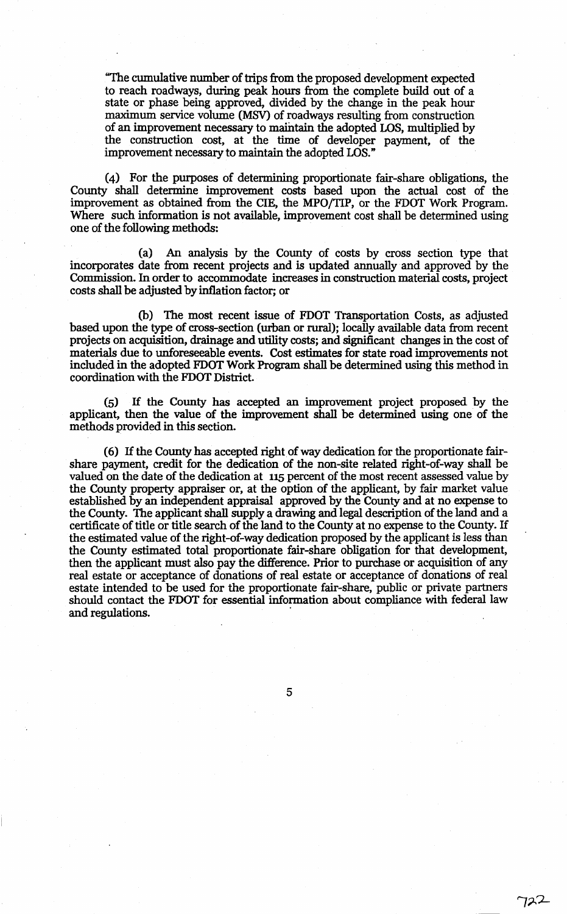"The cumulative number oftrips from the proposed development expected to reach roadways, during peak hours from the complete build out of a state or phase being approved, divided by the change in the peak hour maximum service volume (MSV) of roadways resulting from construction of an improvement necessary to mafutain the adopted LOS, multiplied by the construction cost, at the time of developer payment, of the improvement necessary to maintain the adopted LOS."

(4) For the purposes of determining proportionate fair-share obligations, the County shall determine improvement costs based upon the actual cost of the improvement as obtained from the CIE, the MPO/TIP, or the FDOT Work Program. Where such information is not available, improvement cost shall be determined using one of the following methods:

(a) An analysis by the County of costs by cross section type that incorporates date from recent projects and is updated annually and approved by the Commission. In order to accommodate increases in construction material costs, project costs shall be adjusted by inflation factor; or

(b) The most recent issue of FDOT Transportation Costs, as adjusted based upon the type of cross-section (urban or rural); locally available data from recent projects on acquisition, drainage and utility costs; and significant changes in the cost of materials due to unforeseeable events. Cost estimates for state road improvements not included in the adopted FDOT Work Program shall be determined using this method in coordination with the FDOT District.

(5) If the County has accepted an improvement project proposed by the applicant, then the value of the improvement shall be determined using one of the methods provided in this section.

(6) If the County has accepted right of way dedication for the proportionate fairshare payment, credit for the dedication of the non-site related right-of-way shall be valued on the date of the dedication at 115 percent of the most recent assessed value by the County property appraiser or, at the option of the applicant, by fair market value established by an independent appraisal approved by the County and at no expense to the County. The applicant shall supply a drawing and legal description of the land and a certificate of title or title search of the land to the County at no expense to the County. If the estimated value of the right-of-way dedication proposed by the applicant is less than the County estimated total proportionate fair-share obligation for that development, then the applicant must also pay the difference. Prior to purchase or acquisition of any real estate or acceptance of donations of real estate or acceptance of donations of real estate intended to be used for the proportionate fair-share, public or private partners should contact the FDOT for essential information about compliance with federal law and regulations.

5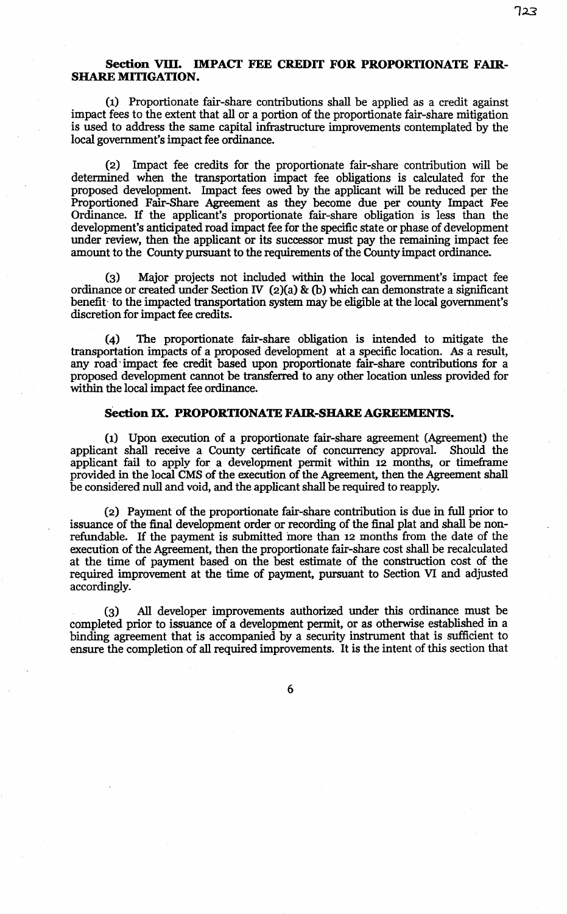# Section VIII. IMPACT FEE CREDIT FOR PROPORTIONATE FAIR. SHARE MITIGATION.

(1) Proportionate fair-share contributions shall be applied as a credit against impact fees to the extent that all or a portion of the proportionate fair-share mitigation is used to address the same capital infrastructure improvements contemplated by the local government's impact fee ordinance.

(2) Impact fee credits for the proportionate fair-share contribution will be determined when the transportation impact fee obligations is calculated for the proposed development. Impact fees owed by the applicant will be reduced per the Proportioned Fair-Share Agreement as they become due per county Impact Fee Ordinance. If the applicant's proportionate fair-share obligation is less than the development's anticipated road impact fee for the specific state or phase of development under review, then the applicant or its successor must pay the remaining impact fee amount to the County pursuant to the requirements of the County impact ordinance.

(3) Major projects not included within the local government's impact fee ordinance or created under Section IV (2)(a) & (b) which can demonstrate a significant benefit- to the impacted transportation system may be eligible at the local government's discretion for impact fee credits.

(4) The proportionate fair-share obligation is intended to mitigate the transportation impacts of a proposed development at a specific location. As a result, any road· impact fee credit based upon proportionate fair-share contributions for a proposed development cannot be transferred to any other location unless provided for within the local impact fee ordinance.

#### Section IX. PROPORTIONATE FAIR-SHARE AGREEMENTS.

(1) Upon execution of a proportionate fair-share agreement (Agreement) the applicant shall receive a County certificate of concurrency approval. Should the applicant fail to apply for a development permit within 12 months, or timeframe provided in the local CMS of the execution of the Agreement, then the Agreement shall be considered null and void, and the applicant shall be required to reapply.

(2) Payment of the proportionate fair-share contribution is due in full prior to issuance of the final development order or recording of the final plat and shall be nonrefundable. If the payment is submitted more than 12 months from the date of the execution of the Agreement, then the proportionate fair-share cost shall be recalculated at the time of payment based on the best estimate of the construction cost of the required improvement at the time of payment, pursuant to Section VI and adjusted accordingly.

(3) All developer improvements authorized under this ordinance must be completed prior to issuance of a development permit, or as otherwise established in a binding agreement that is accompanied by a security instrument that is sufficient to ensure the completion of all required improvements. It is the intent of this section that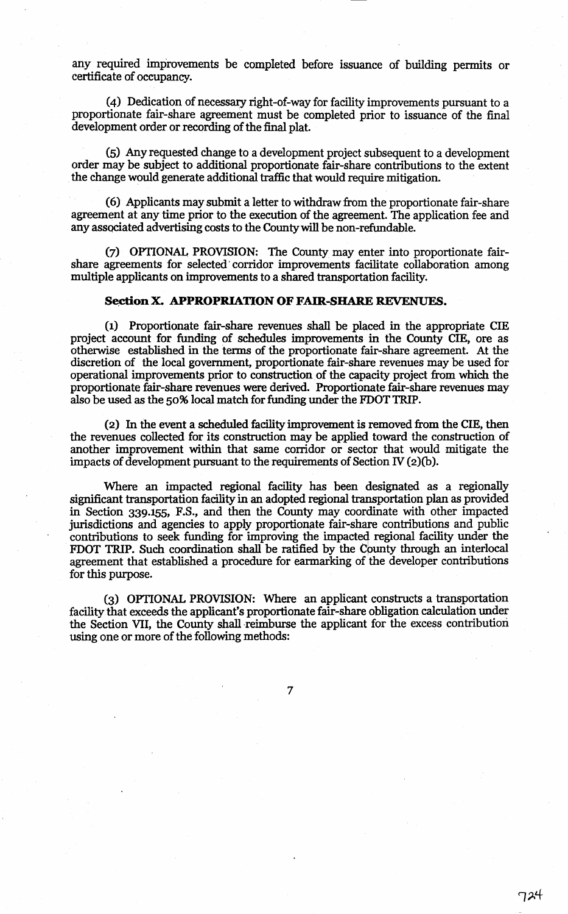any required improvements be completed before issuance of building permits or certificate of occupancy.

(4) Dedication of necessary right-of-way for facility improvements pursuant to a proportionate fair-share agreement must be completed prior to issuance of the final development order or recording of the final plat.

(5) Any requested change to a development project subsequent to a development order may be subject to additional proportionate fair-share contributions to the extent the change would generate additional traffic that would require mitigation.

(6) Applicants may submit a letter to withdraw from the proportionate fair-share agreement at any time prior to the execution of the agreement. The application fee and any associated advertising costs to the County will be non-refundable.

(7) OPTIONAL PROVISION: The County may enter into proportionate fairshare agreements for selected· corridor improvements facilitate collaboration among multiple applicants on improvements to a shared transportation facility.

# **Se.ctionX. APPROPRIATION OF FAIR-SHARE** REVENUES.

(1) Proportionate fair-share revenues shall be placed in the appropriate CIE project account for funding of schedules improvements in the County CIE, ore as otherwise established in the terms of the proportionate fair-share agreement. At the discretion of the local government, proportionate fair-share revenues may be used for operational improvements prior to construction of the capacity project from which the proportionate fair-share revenues were derived. Proportionate fair-share revenues may also be used as the 50% local match for funding under the FDOT TRIP.

(2) In the event a scheduled facility improvement is removed from the CIE, then the revenues collected for its construction may be applied toward the construction of another improvement within that same corridor or sector that would mitigate the impacts of development pursuant to the requirements of Section IV (2)(b).

Where an impacted regional facility has been designated as a regionally significant transportation facility in an adopted regional transportation plan as provided in Section 339.155, F.S., and then the County may coordinate with other impacted jurisdictions and agencies to apply proportionate fair-share contributions and public contributions to seek funding for improving the impacteg regional facility under the FDOT TRIP. Such coordination shall be ratified by the County through an interlocal agreement that established a procedure for earmarking of the developer contributions for this purpose.

(3) OPTIONAL PROVISION: Where an applicant constructs a transportation facility that exceeds the applicant's proportionate fair-share obligation calculation under the Section VII, the County shall reimburse the applicant for the excess contribution using one or more of the following methods:

*7*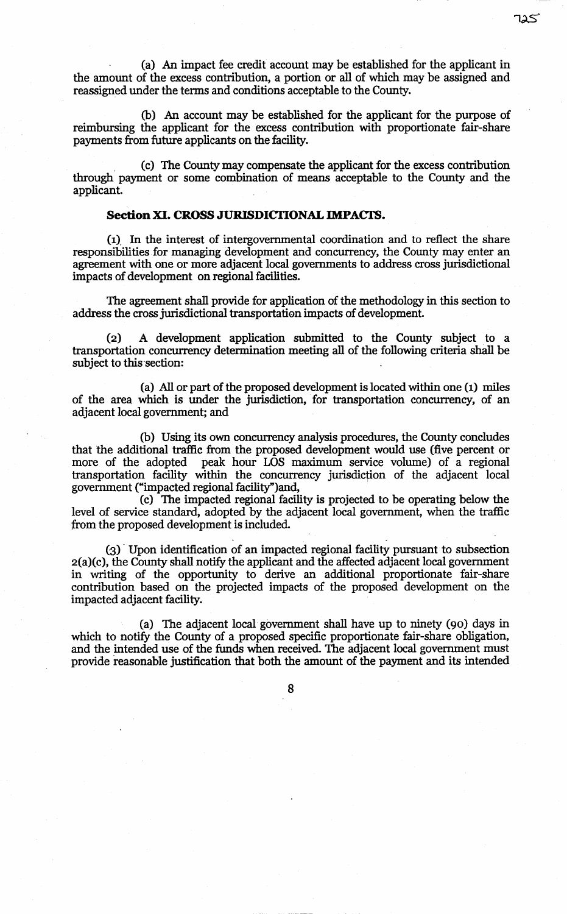(a) An impact fee credit acconnt may be established for the applicant in the amonnt of the excess contribution, a portion or all of which may be assigned and reassigned wider the terms and conditions acceptable to the County.

(b) An account may be established for the applicant for the purpose of reimbursing the applicant for the excess contribution with proportionate fair-share payments from future applicants on the facility.

. (c) The County may compensate the applicant for the excess contribution through payment or some combination of means acceptable to the County and the applicant.

## **Section XI. CROSS JURISDICTIONAL IMPACTS.**

(1), In the interest of intergovernmental coordination and to reflect the share responsibilities for managing development and concurrency, the Connty may enter an agreement with one or more adjacent local governments to address cross jurisdictional impacts of development on regional facilities.

The agreement shall provide for application of the methodology in this section to address the cross jurisdictional transportation impacts of development.

(2) A development application submitted to the Connty subject to a transportation concurrency determination meeting all of the following criteria shall be subject to this section:

(a) All or part of the proposed development is located within one (1) miles of the area which is under the jurisdiction, for transportation concurrency, of an adjacent local government; and

(b) Using its own concurrency analysis procedures, the County concludes that the additional traffic from the proposed development would use (five percent or more of the adopted peak hour LOS maximum service volume) of a regional transportation facility within the concurrency jurisdiction of the adjacent local government ("impacted regional facility")and,<br>(c) The impacted regional facility is projected to be operating below the

level of service standard, adopted by the adjacent local government, when the traffic from the proposed development is included.

(3) · Upon identification of an impacted regional facility pursuant to subsection 2(a)(c), the County shall notify the applicant and the affected adjacent local government in writing of the opportunity to derive an additional proportionate fair-share contribution based on the projected impacts of the proposed development on the impacted adjacent facility.

(a) The adjacent local government shall have up to ninety (90) days in which to notify the County of a proposed specific proportionate fair-share obligation, and the intended use of the funds when received. The adjacent local government must provide reasonable justification that both the amount of the payment and its intended